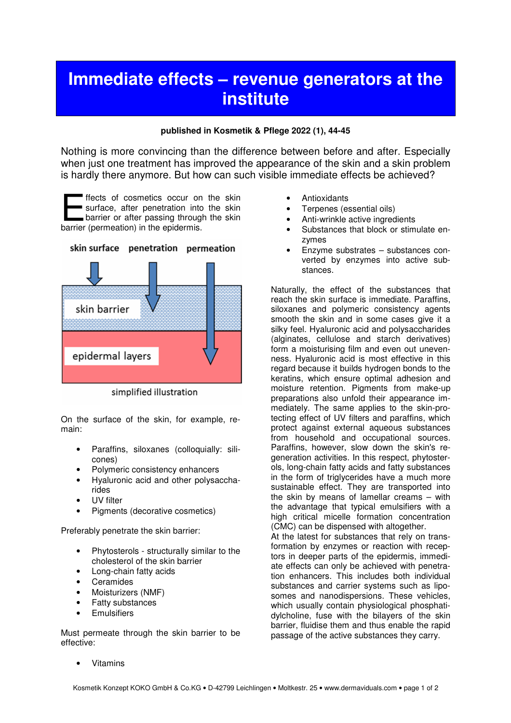## **Immediate effects – revenue generators at the institute**

## **published in Kosmetik & Pflege 2022 (1), 44-45**

Nothing is more convincing than the difference between before and after. Especially when just one treatment has improved the appearance of the skin and a skin problem is hardly there anymore. But how can such visible immediate effects be achieved?

ffects of cosmetics occur on the skin surface, after penetration into the skin barrier or after passing through the skin ffects of cosmetics occur on<br>surface, after penetration into<br>barrier or after passing through<br>barrier (permeation) in the epidermis.



simplified illustration

On the surface of the skin, for example, remain:

- Paraffins, siloxanes (colloquially: silicones)
- Polymeric consistency enhancers
- Hyaluronic acid and other polysaccharides
- UV filter
- Pigments (decorative cosmetics)

Preferably penetrate the skin barrier:

- Phytosterols structurally similar to the cholesterol of the skin barrier
- Long-chain fatty acids
- **Ceramides**
- Moisturizers (NMF)
- **Fatty substances**
- **Emulsifiers**

Must permeate through the skin barrier to be effective:

- **Antioxidants**
- Terpenes (essential oils)
- Anti-wrinkle active ingredients
- Substances that block or stimulate enzymes
- Enzyme substrates substances converted by enzymes into active substances.

Naturally, the effect of the substances that reach the skin surface is immediate. Paraffins, siloxanes and polymeric consistency agents smooth the skin and in some cases give it a silky feel. Hyaluronic acid and polysaccharides (alginates, cellulose and starch derivatives) form a moisturising film and even out unevenness. Hyaluronic acid is most effective in this regard because it builds hydrogen bonds to the keratins, which ensure optimal adhesion and moisture retention. Pigments from make-up preparations also unfold their appearance immediately. The same applies to the skin-protecting effect of UV filters and paraffins, which protect against external aqueous substances from household and occupational sources. Paraffins, however, slow down the skin's regeneration activities. In this respect, phytosterols, long-chain fatty acids and fatty substances in the form of triglycerides have a much more sustainable effect. They are transported into the skin by means of lamellar creams – with the advantage that typical emulsifiers with a high critical micelle formation concentration (CMC) can be dispensed with altogether. At the latest for substances that rely on trans-

formation by enzymes or reaction with receptors in deeper parts of the epidermis, immediate effects can only be achieved with penetration enhancers. This includes both individual substances and carrier systems such as liposomes and nanodispersions. These vehicles, which usually contain physiological phosphatidylcholine, fuse with the bilayers of the skin barrier, fluidise them and thus enable the rapid passage of the active substances they carry.

**Vitamins**